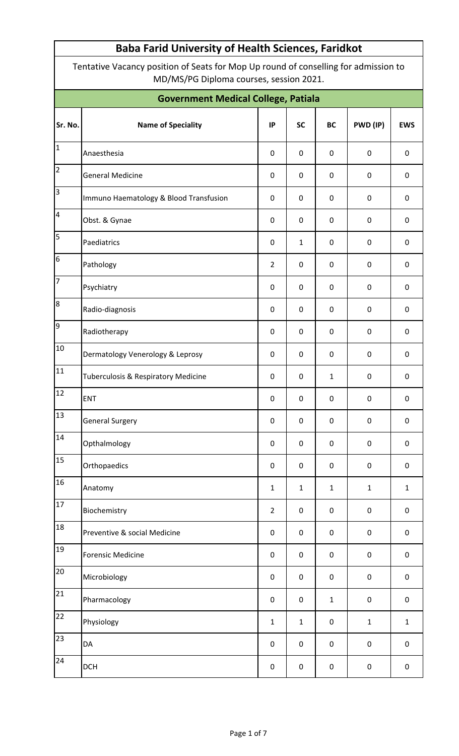Tentative Vacancy position of Seats for Mop Up round of conselling for admission to MD/MS/PG Diploma courses, session 2021.

| <b>Government Medical College, Patiala</b> |                                        |                |              |              |             |             |  |  |  |  |  |
|--------------------------------------------|----------------------------------------|----------------|--------------|--------------|-------------|-------------|--|--|--|--|--|
| Sr. No.                                    | <b>Name of Speciality</b>              | IP             | <b>SC</b>    | <b>BC</b>    | PWD (IP)    | <b>EWS</b>  |  |  |  |  |  |
| $\overline{1}$                             | Anaesthesia                            | $\mathbf 0$    | $\pmb{0}$    | 0            | $\pmb{0}$   | $\pmb{0}$   |  |  |  |  |  |
| $\overline{2}$                             | <b>General Medicine</b>                | $\mathbf 0$    | $\pmb{0}$    | $\pmb{0}$    | $\mathbf 0$ | $\pmb{0}$   |  |  |  |  |  |
| $\overline{3}$                             | Immuno Haematology & Blood Transfusion | 0              | $\mathbf 0$  | 0            | $\pmb{0}$   | $\pmb{0}$   |  |  |  |  |  |
| $\overline{4}$                             | Obst. & Gynae                          | $\mathbf 0$    | $\pmb{0}$    | 0            | $\mathbf 0$ | $\pmb{0}$   |  |  |  |  |  |
| $\overline{5}$                             | Paediatrics                            | $\mathbf 0$    | $\mathbf{1}$ | 0            | $\pmb{0}$   | $\pmb{0}$   |  |  |  |  |  |
| $\sqrt{6}$                                 | Pathology                              |                | $\pmb{0}$    | $\pmb{0}$    | $\mathbf 0$ | $\pmb{0}$   |  |  |  |  |  |
| 7                                          | Psychiatry                             | $\mathbf 0$    | $\pmb{0}$    | 0            | $\pmb{0}$   | $\pmb{0}$   |  |  |  |  |  |
| $\overline{8}$                             | Radio-diagnosis                        | $\mathbf 0$    | $\mathbf 0$  | $\pmb{0}$    | $\mathbf 0$ | $\pmb{0}$   |  |  |  |  |  |
| $\overline{9}$                             | Radiotherapy                           | $\mathbf 0$    | $\pmb{0}$    | 0            | $\pmb{0}$   | $\pmb{0}$   |  |  |  |  |  |
| 10                                         | Dermatology Venerology & Leprosy       | $\mathbf 0$    | $\pmb{0}$    | $\pmb{0}$    | $\mathbf 0$ | $\pmb{0}$   |  |  |  |  |  |
| 11                                         | Tuberculosis & Respiratory Medicine    | $\mathbf 0$    | $\mathbf 0$  | $\mathbf{1}$ | $\pmb{0}$   | $\pmb{0}$   |  |  |  |  |  |
| 12                                         | ENT                                    | $\mathbf 0$    | $\pmb{0}$    | $\pmb{0}$    | $\pmb{0}$   | $\pmb{0}$   |  |  |  |  |  |
| 13                                         | <b>General Surgery</b>                 | $\pmb{0}$      | $\pmb{0}$    | 0            | 0           | 0           |  |  |  |  |  |
| 14                                         | Opthalmology                           | $\pmb{0}$      | $\pmb{0}$    | $\pmb{0}$    | $\pmb{0}$   | $\pmb{0}$   |  |  |  |  |  |
| 15                                         | Orthopaedics                           | $\pmb{0}$      | $\pmb{0}$    | $\pmb{0}$    | $\pmb{0}$   | $\pmb{0}$   |  |  |  |  |  |
| 16                                         | Anatomy                                | $\mathbf{1}$   | $\mathbf{1}$ | $\mathbf{1}$ | $\mathbf 1$ | $\mathbf 1$ |  |  |  |  |  |
| 17                                         | Biochemistry                           | $\overline{2}$ | $\pmb{0}$    | 0            | $\pmb{0}$   | $\pmb{0}$   |  |  |  |  |  |
| 18                                         | Preventive & social Medicine           | $\mathbf 0$    | $\mathbf 0$  | $\pmb{0}$    | $\pmb{0}$   | $\pmb{0}$   |  |  |  |  |  |
| 19                                         | <b>Forensic Medicine</b>               | $\pmb{0}$      | $\pmb{0}$    | 0            | $\pmb{0}$   | $\pmb{0}$   |  |  |  |  |  |
| 20                                         | Microbiology                           | $\pmb{0}$      | $\pmb{0}$    | $\pmb{0}$    | $\mathbf 0$ | $\pmb{0}$   |  |  |  |  |  |
| $\overline{21}$                            | Pharmacology                           | $\pmb{0}$      | $\pmb{0}$    | $\mathbf 1$  | $\pmb{0}$   | $\pmb{0}$   |  |  |  |  |  |
| 22                                         | Physiology                             | $\mathbf{1}$   | $\mathbf{1}$ | $\pmb{0}$    | $\mathbf 1$ | $\mathbf 1$ |  |  |  |  |  |
| 23                                         | DA                                     | 0              | 0            | $\pmb{0}$    | 0           | $\pmb{0}$   |  |  |  |  |  |
| 24                                         | <b>DCH</b>                             | $\pmb{0}$      | 0            | $\pmb{0}$    | $\pmb{0}$   | $\pmb{0}$   |  |  |  |  |  |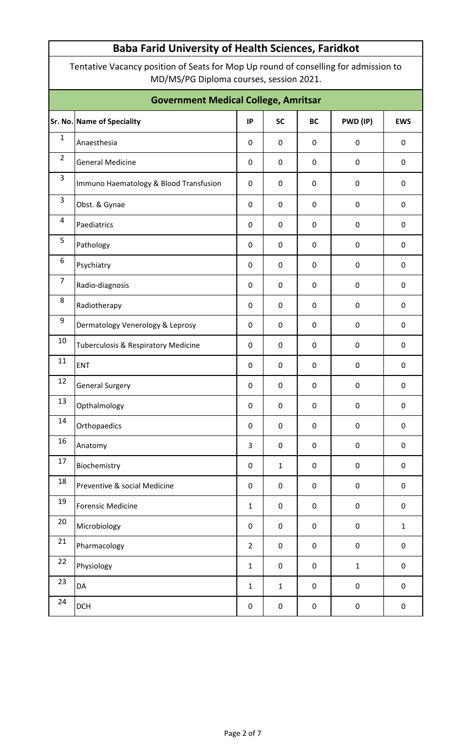Tentative Vacancy position of Seats for Mop Up round of conselling for admission to MD/MS/PG Diploma courses, session 2021.

| <b>Government Medical College, Amritsar</b> |                                                |                  |              |                  |                  |                  |  |  |  |  |  |
|---------------------------------------------|------------------------------------------------|------------------|--------------|------------------|------------------|------------------|--|--|--|--|--|
|                                             | Sr. No. Name of Speciality                     | IP               | <b>SC</b>    | <b>BC</b>        | PWD (IP)         | <b>EWS</b>       |  |  |  |  |  |
| $\mathbf{1}$                                | Anaesthesia                                    | $\mathbf 0$      | $\mathbf 0$  | $\pmb{0}$        | $\pmb{0}$        | $\mathbf 0$      |  |  |  |  |  |
| $\overline{2}$                              | <b>General Medicine</b>                        | $\mathbf 0$      | $\mathbf 0$  | 0                | $\boldsymbol{0}$ | $\mathbf 0$      |  |  |  |  |  |
| $\overline{3}$                              | Immuno Haematology & Blood Transfusion         | $\mathbf 0$      | $\mathbf 0$  | 0                | $\boldsymbol{0}$ | 0                |  |  |  |  |  |
| $\mathsf 3$                                 | Obst. & Gynae                                  | $\mathbf 0$      | $\pmb{0}$    | $\pmb{0}$        | $\pmb{0}$        | $\mathbf 0$      |  |  |  |  |  |
| $\overline{4}$                              | Paediatrics                                    | $\mathbf 0$      | $\mathbf 0$  | $\pmb{0}$        | $\pmb{0}$        | $\mathbf 0$      |  |  |  |  |  |
| 5                                           | Pathology                                      | $\mathbf 0$      | $\mathbf 0$  | $\mathbf 0$      | $\pmb{0}$        | $\mathbf 0$      |  |  |  |  |  |
| 6                                           | Psychiatry                                     | 0                | $\mathbf 0$  | $\mathbf 0$      | $\pmb{0}$        | $\mathbf 0$      |  |  |  |  |  |
| $\overline{7}$                              | Radio-diagnosis                                | $\mathbf 0$      | $\mathbf 0$  | $\mathbf 0$      | $\pmb{0}$        | $\mathbf 0$      |  |  |  |  |  |
| 8                                           | Radiotherapy                                   | $\boldsymbol{0}$ | $\mathbf 0$  | $\pmb{0}$        | $\pmb{0}$        | $\mathbf 0$      |  |  |  |  |  |
| 9                                           | Dermatology Venerology & Leprosy               | $\boldsymbol{0}$ | $\mathbf 0$  | 0                | $\pmb{0}$        | $\mathbf 0$      |  |  |  |  |  |
| 10                                          | <b>Tuberculosis &amp; Respiratory Medicine</b> | $\boldsymbol{0}$ | $\mathbf 0$  | $\mathbf 0$      | $\boldsymbol{0}$ | 0                |  |  |  |  |  |
| 11                                          | <b>ENT</b>                                     | $\mathbf 0$      | $\pmb{0}$    | $\mathbf 0$      | $\pmb{0}$        | $\mathbf 0$      |  |  |  |  |  |
| 12                                          | <b>General Surgery</b>                         | $\boldsymbol{0}$ | $\mathbf 0$  | $\mathbf 0$      | $\mathbf 0$      | $\mathbf 0$      |  |  |  |  |  |
| 13                                          | Opthalmology                                   | 0                | $\mathbf 0$  | 0                | $\boldsymbol{0}$ | $\mathbf 0$      |  |  |  |  |  |
| 14                                          | Orthopaedics                                   | $\pmb{0}$        | $\pmb{0}$    | $\boldsymbol{0}$ | $\pmb{0}$        | $\pmb{0}$        |  |  |  |  |  |
| 16                                          | Anatomy                                        | $\mathbf{3}$     | $\pmb{0}$    | $\pmb{0}$        | $\pmb{0}$        | $\pmb{0}$        |  |  |  |  |  |
| 17                                          | Biochemistry                                   | $\mathbf 0$      | $\mathbf{1}$ | $\mathbf 0$      | $\pmb{0}$        | $\mathbf 0$      |  |  |  |  |  |
| 18                                          | Preventive & social Medicine                   | $\mathbf 0$      | $\mathbf 0$  | $\mathbf 0$      | $\pmb{0}$        | $\boldsymbol{0}$ |  |  |  |  |  |
| 19                                          | <b>Forensic Medicine</b>                       | $\mathbf{1}$     | $\pmb{0}$    | $\pmb{0}$        | $\pmb{0}$        | $\boldsymbol{0}$ |  |  |  |  |  |
| 20                                          | Microbiology                                   | $\mathbf 0$      | $\mathbf 0$  | $\mathbf 0$      | $\pmb{0}$        | $\mathbf{1}$     |  |  |  |  |  |
| 21                                          | Pharmacology                                   | $\overline{2}$   | $\mathbf 0$  | $\pmb{0}$        | $\pmb{0}$        | $\boldsymbol{0}$ |  |  |  |  |  |
| 22                                          | Physiology                                     | $\mathbf{1}$     | $\mathbf 0$  | $\pmb{0}$        | $\mathbf 1$      | $\pmb{0}$        |  |  |  |  |  |
| 23                                          | DA                                             | $\mathbf{1}$     | $\mathbf{1}$ | $\pmb{0}$        | $\pmb{0}$        | $\boldsymbol{0}$ |  |  |  |  |  |
| 24                                          | <b>DCH</b>                                     | 0                | $\pmb{0}$    | $\pmb{0}$        | $\pmb{0}$        | $\mathbf 0$      |  |  |  |  |  |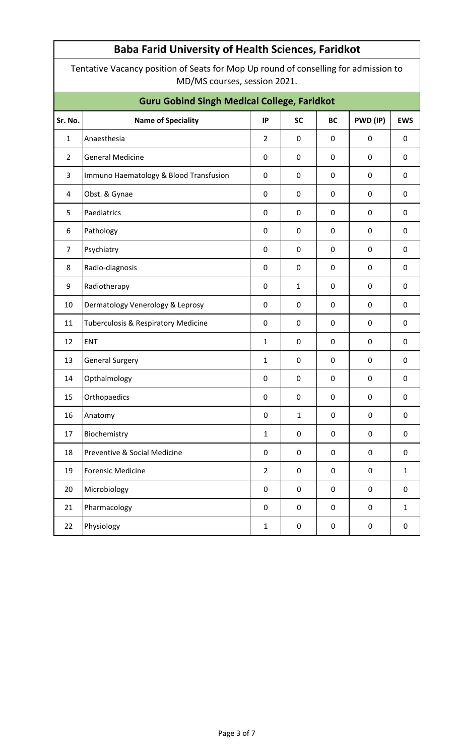Tentative Vacancy position of Seats for Mop Up round of conselling for admission to MD/MS courses, session 2021.

| <b>Guru Gobind Singh Medical College, Faridkot</b> |                                        |                  |              |             |                  |                  |  |  |  |  |
|----------------------------------------------------|----------------------------------------|------------------|--------------|-------------|------------------|------------------|--|--|--|--|
| Sr. No.                                            | <b>Name of Speciality</b>              | IP               | <b>SC</b>    | <b>BC</b>   | PWD (IP)         | <b>EWS</b>       |  |  |  |  |
| $\mathbf{1}$                                       | Anaesthesia                            | $\overline{2}$   | 0            | 0           | 0                | 0                |  |  |  |  |
| $\overline{2}$                                     | <b>General Medicine</b>                | 0                | 0            | $\mathbf 0$ | 0                | 0                |  |  |  |  |
| 3                                                  | Immuno Haematology & Blood Transfusion | $\mathbf 0$      | 0            | $\mathbf 0$ | 0                | 0                |  |  |  |  |
| 4                                                  | Obst. & Gynae                          | 0                | 0            | $\mathbf 0$ | 0                | 0                |  |  |  |  |
| 5                                                  | Paediatrics                            | 0                | 0            | $\mathbf 0$ | $\mathbf 0$      | 0                |  |  |  |  |
| 6                                                  | Pathology                              | 0                | 0            | 0           | 0                | 0                |  |  |  |  |
| $\overline{7}$                                     | Psychiatry                             | 0                | 0            | $\mathbf 0$ | 0                | 0                |  |  |  |  |
| 8                                                  | Radio-diagnosis                        | 0                | 0            | $\mathbf 0$ | 0                | 0                |  |  |  |  |
| 9                                                  | Radiotherapy                           | 0                | $\mathbf{1}$ | 0           | 0                | 0                |  |  |  |  |
| 10                                                 | Dermatology Venerology & Leprosy       | 0                | 0            | 0           | 0                | 0                |  |  |  |  |
| 11                                                 | Tuberculosis & Respiratory Medicine    | 0                | 0            | 0           | 0                | 0                |  |  |  |  |
| 12                                                 | ENT                                    | $\mathbf{1}$     | 0            | $\mathbf 0$ | $\mathbf 0$      | 0                |  |  |  |  |
| 13                                                 | <b>General Surgery</b>                 | $\mathbf{1}$     | 0            | 0           | 0                | 0                |  |  |  |  |
| 14                                                 | Opthalmology                           | 0                | 0            | $\mathbf 0$ | $\boldsymbol{0}$ | 0                |  |  |  |  |
| 15                                                 | Orthopaedics                           | 0                | 0            | $\mathbf 0$ | $\mathbf 0$      | 0                |  |  |  |  |
| 16                                                 | Anatomy                                | 0                | $\mathbf{1}$ | 0           | $\pmb{0}$        | $\pmb{0}$        |  |  |  |  |
| 17                                                 | Biochemistry                           | $\mathbf 1$      | 0            | $\pmb{0}$   | $\pmb{0}$        | $\boldsymbol{0}$ |  |  |  |  |
| 18                                                 | Preventive & Social Medicine           | $\pmb{0}$        | $\mathbf 0$  | $\pmb{0}$   | $\mathbf 0$      | $\pmb{0}$        |  |  |  |  |
| 19                                                 | <b>Forensic Medicine</b>               | $\overline{2}$   | $\mathbf 0$  | $\mathbf 0$ | $\mathbf 0$      | $1\,$            |  |  |  |  |
| 20                                                 | Microbiology                           | $\pmb{0}$        | 0            | $\mathbf 0$ | $\mathbf 0$      | $\mathbf 0$      |  |  |  |  |
| 21                                                 | Pharmacology                           | $\boldsymbol{0}$ | 0            | $\mathbf 0$ | $\mathbf 0$      | $\mathbf{1}$     |  |  |  |  |
| 22                                                 | Physiology                             | $\mathbf 1$      | 0            | 0           | 0                | 0                |  |  |  |  |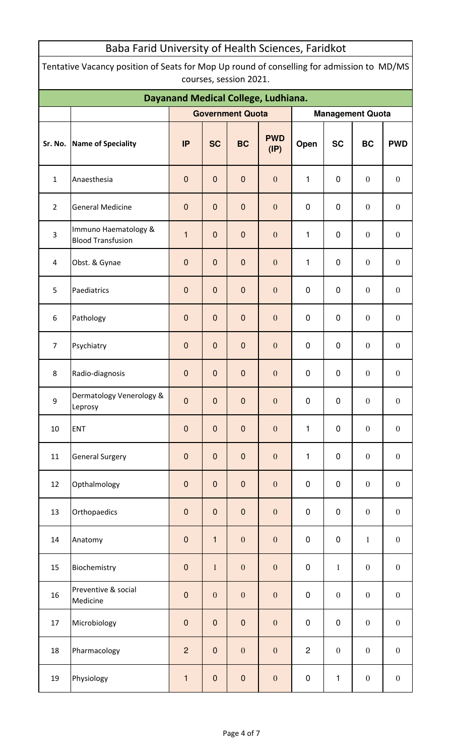| Tentative Vacancy position of Seats for Mop Up round of conselling for admission to MD/MS<br>courses, session 2021. |                                                  |                |                  |                         |                    |                |                  |                         |                  |  |  |
|---------------------------------------------------------------------------------------------------------------------|--------------------------------------------------|----------------|------------------|-------------------------|--------------------|----------------|------------------|-------------------------|------------------|--|--|
| Dayanand Medical College, Ludhiana.                                                                                 |                                                  |                |                  |                         |                    |                |                  |                         |                  |  |  |
|                                                                                                                     |                                                  |                |                  | <b>Government Quota</b> |                    |                |                  | <b>Management Quota</b> |                  |  |  |
| Sr. No.                                                                                                             | Name of Speciality                               | <b>IP</b>      | <b>SC</b>        | <b>BC</b>               | <b>PWD</b><br>(IP) | Open           | <b>SC</b>        | <b>BC</b>               | <b>PWD</b>       |  |  |
| $\mathbf 1$                                                                                                         | Anaesthesia                                      | $\mathbf 0$    | $\mathbf 0$      | $\mathbf 0$             | $\boldsymbol{0}$   | 1              | $\pmb{0}$        | $\boldsymbol{0}$        | $\mathbf{0}$     |  |  |
| $\overline{2}$                                                                                                      | <b>General Medicine</b>                          | $\mathbf 0$    | $\mathbf 0$      | $\mathbf 0$             | $\boldsymbol{0}$   | $\pmb{0}$      | $\pmb{0}$        | $\boldsymbol{0}$        | $\boldsymbol{0}$ |  |  |
| $\overline{\mathbf{3}}$                                                                                             | Immuno Haematology &<br><b>Blood Transfusion</b> | $\mathbf{1}$   | $\mathbf 0$      | $\theta$                | $\boldsymbol{0}$   | $\mathbf{1}$   | $\pmb{0}$        | $\boldsymbol{0}$        | $\boldsymbol{0}$ |  |  |
| 4                                                                                                                   | Obst. & Gynae                                    | $\mathbf 0$    | $\mathbf 0$      | $\theta$                | $\boldsymbol{0}$   | 1              | $\pmb{0}$        | $\boldsymbol{0}$        | $\boldsymbol{0}$ |  |  |
| 5                                                                                                                   | Paediatrics                                      | $\mathbf 0$    | $\mathbf 0$      | $\mathbf 0$             | $\mathbf{0}$       | $\pmb{0}$      | $\pmb{0}$        | $\boldsymbol{0}$        | $\boldsymbol{0}$ |  |  |
| 6                                                                                                                   | Pathology                                        | $\mathbf 0$    | $\mathbf 0$      | $\mathbf 0$             | $\mathbf{0}$       | $\pmb{0}$      | $\pmb{0}$        | $\boldsymbol{0}$        | $\boldsymbol{0}$ |  |  |
| $\overline{7}$                                                                                                      | Psychiatry                                       | $\mathbf 0$    | $\mathbf 0$      | $\mathbf 0$             | $\boldsymbol{0}$   | $\pmb{0}$      | $\pmb{0}$        | $\boldsymbol{0}$        | $\boldsymbol{0}$ |  |  |
| 8                                                                                                                   | Radio-diagnosis                                  | $\mathbf 0$    | $\mathbf 0$      | $\mathbf 0$             | $\boldsymbol{0}$   | $\pmb{0}$      | $\pmb{0}$        | $\boldsymbol{0}$        | $\boldsymbol{0}$ |  |  |
| 9                                                                                                                   | Dermatology Venerology &<br>Leprosy              | $\pmb{0}$      | $\overline{0}$   | $\pmb{0}$               | $\boldsymbol{0}$   | $\pmb{0}$      | $\pmb{0}$        | $\boldsymbol{0}$        | $\boldsymbol{0}$ |  |  |
| 10                                                                                                                  | <b>ENT</b>                                       | $\mathbf 0$    | $\pmb{0}$        | $\pmb{0}$               | $\boldsymbol{0}$   | 1              | $\pmb{0}$        | $\boldsymbol{0}$        | $\mathbf{0}$     |  |  |
| 11                                                                                                                  | <b>General Surgery</b>                           | $\pmb{0}$      | $\pmb{0}$        | $\pmb{0}$               | $\boldsymbol{0}$   | 1              | $\pmb{0}$        | $\boldsymbol{0}$        | $\boldsymbol{0}$ |  |  |
| 12                                                                                                                  | Opthalmology                                     | $\pmb{0}$      | $\pmb{0}$        | $\pmb{0}$               | $\boldsymbol{0}$   | $\pmb{0}$      | $\pmb{0}$        | $\boldsymbol{0}$        | $\boldsymbol{0}$ |  |  |
| 13                                                                                                                  | Orthopaedics                                     | $\pmb{0}$      | $\pmb{0}$        | $\pmb{0}$               | $\boldsymbol{0}$   | $\pmb{0}$      | $\pmb{0}$        | $\boldsymbol{0}$        | $\boldsymbol{0}$ |  |  |
| 14                                                                                                                  | Anatomy                                          | $\pmb{0}$      | $\mathbf{1}$     | $\boldsymbol{0}$        | $\boldsymbol{0}$   | $\pmb{0}$      | $\pmb{0}$        | $\mathbf{1}$            | $\boldsymbol{0}$ |  |  |
| 15                                                                                                                  | Biochemistry                                     | $\pmb{0}$      | $1\,$            | $\boldsymbol{0}$        | $\boldsymbol{0}$   | $\pmb{0}$      | $\mathbf{1}$     | $\boldsymbol{0}$        | $\boldsymbol{0}$ |  |  |
| 16                                                                                                                  | Preventive & social<br>Medicine                  | $\pmb{0}$      | $\boldsymbol{0}$ | $\boldsymbol{0}$        | $\boldsymbol{0}$   | $\pmb{0}$      | $\boldsymbol{0}$ | $\boldsymbol{0}$        | $\boldsymbol{0}$ |  |  |
| 17                                                                                                                  | Microbiology                                     | $\pmb{0}$      | $\pmb{0}$        | $\pmb{0}$               | $\boldsymbol{0}$   | $\pmb{0}$      | $\pmb{0}$        | $\boldsymbol{0}$        | $\boldsymbol{0}$ |  |  |
| 18                                                                                                                  | Pharmacology                                     | $\overline{c}$ | $\pmb{0}$        | $\boldsymbol{0}$        | $\boldsymbol{0}$   | $\overline{c}$ | $\boldsymbol{0}$ | $\boldsymbol{0}$        | $\boldsymbol{0}$ |  |  |
| 19                                                                                                                  | Physiology                                       | $\mathbf{1}$   | $\pmb{0}$        | ${\bf 0}$               | $\boldsymbol{0}$   | $\pmb{0}$      | 1                | $\boldsymbol{0}$        | $\boldsymbol{0}$ |  |  |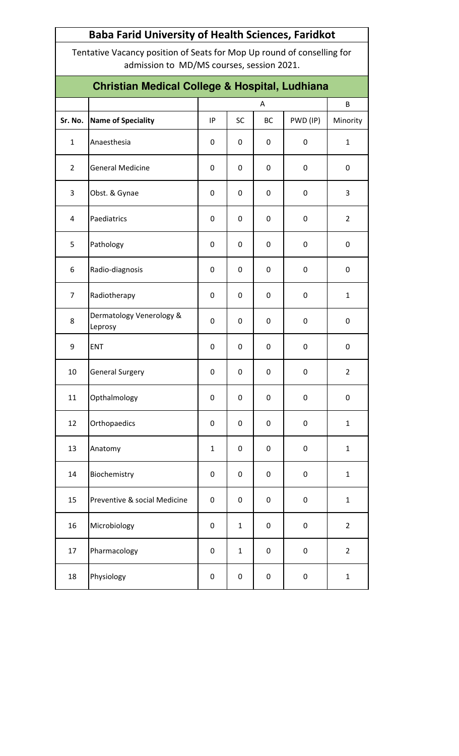| <b>Baba Farid University of Health Sciences, Faridkot</b> |                                                                                                                     |                                                      |              |           |             |                |  |  |  |  |  |  |
|-----------------------------------------------------------|---------------------------------------------------------------------------------------------------------------------|------------------------------------------------------|--------------|-----------|-------------|----------------|--|--|--|--|--|--|
|                                                           | Tentative Vacancy position of Seats for Mop Up round of conselling for<br>admission to MD/MS courses, session 2021. |                                                      |              |           |             |                |  |  |  |  |  |  |
|                                                           | <b>Christian Medical College &amp; Hospital, Ludhiana</b>                                                           |                                                      |              |           |             |                |  |  |  |  |  |  |
|                                                           |                                                                                                                     | B<br>A                                               |              |           |             |                |  |  |  |  |  |  |
| Sr. No.                                                   | <b>Name of Speciality</b>                                                                                           | <b>SC</b><br>PWD (IP)<br>IP<br><b>BC</b><br>Minority |              |           |             |                |  |  |  |  |  |  |
| $\mathbf{1}$                                              | Anaesthesia                                                                                                         | 0                                                    | 0            | 0         | 0           | $\mathbf{1}$   |  |  |  |  |  |  |
| $\overline{2}$                                            | <b>General Medicine</b>                                                                                             | 0                                                    | 0            | 0         | 0           | 0              |  |  |  |  |  |  |
| 3                                                         | Obst. & Gynae                                                                                                       | 0                                                    | 0            | 0         | 0           | 3              |  |  |  |  |  |  |
| 4                                                         | Paediatrics                                                                                                         | 0                                                    | 0            | 0         | 0           | $\overline{2}$ |  |  |  |  |  |  |
| 5                                                         | Pathology                                                                                                           | 0                                                    | 0            | 0         | 0           | 0              |  |  |  |  |  |  |
| 6                                                         | Radio-diagnosis                                                                                                     | 0                                                    | 0            | 0         | 0           | 0              |  |  |  |  |  |  |
| $\overline{7}$                                            | Radiotherapy                                                                                                        | 0                                                    | 0            | 0         | 0           | $\mathbf{1}$   |  |  |  |  |  |  |
| 8                                                         | Dermatology Venerology &<br>Leprosy                                                                                 | 0                                                    | 0            | 0         | 0           | 0              |  |  |  |  |  |  |
| 9                                                         | <b>ENT</b>                                                                                                          | 0                                                    | 0            | 0         | 0           | 0              |  |  |  |  |  |  |
| 10                                                        | <b>General Surgery</b>                                                                                              | 0                                                    | 0            | 0         | $\pmb{0}$   | $\overline{2}$ |  |  |  |  |  |  |
| 11                                                        | Opthalmology                                                                                                        | 0                                                    | 0            | 0         | 0           | 0              |  |  |  |  |  |  |
| 12                                                        | Orthopaedics                                                                                                        | 0                                                    | 0            | 0         | 0           | $\mathbf{1}$   |  |  |  |  |  |  |
| 13                                                        | Anatomy                                                                                                             | $\mathbf{1}$                                         | 0            | $\pmb{0}$ | $\pmb{0}$   | $\mathbf{1}$   |  |  |  |  |  |  |
| 14                                                        | Biochemistry                                                                                                        | 0                                                    | 0            | 0         | $\pmb{0}$   | $\mathbf{1}$   |  |  |  |  |  |  |
| 15                                                        | Preventive & social Medicine                                                                                        | 0                                                    | 0            | 0         | 0           | $\mathbf{1}$   |  |  |  |  |  |  |
| 16                                                        | Microbiology                                                                                                        | 0                                                    | $\mathbf{1}$ | $\pmb{0}$ | $\mathbf 0$ | $\overline{2}$ |  |  |  |  |  |  |
| 17                                                        | Pharmacology                                                                                                        | 0                                                    | $\mathbf{1}$ | 0         | 0           | $\overline{2}$ |  |  |  |  |  |  |
| 18                                                        | Physiology                                                                                                          | 0                                                    | 0            | 0         | 0           | $\mathbf{1}$   |  |  |  |  |  |  |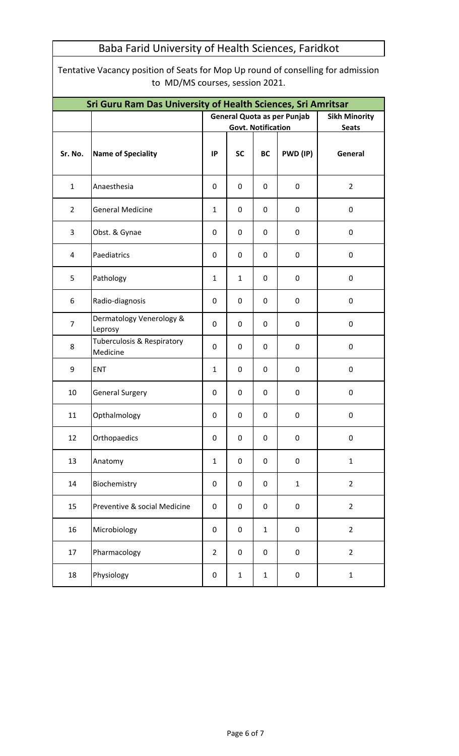Tentative Vacancy position of Seats for Mop Up round of conselling for admission to MD/MS courses, session 2021.

| Sri Guru Ram Das University of Health Sciences, Sri Amritsar |                                                   |                |                                    |                      |                  |                  |  |  |  |
|--------------------------------------------------------------|---------------------------------------------------|----------------|------------------------------------|----------------------|------------------|------------------|--|--|--|
|                                                              |                                                   |                | <b>General Quota as per Punjab</b> | <b>Sikh Minority</b> |                  |                  |  |  |  |
|                                                              |                                                   |                | <b>Govt. Notification</b>          |                      |                  | <b>Seats</b>     |  |  |  |
| Sr. No.                                                      | <b>Name of Speciality</b>                         | IP             | <b>SC</b>                          | <b>BC</b>            | PWD (IP)         | General          |  |  |  |
| $\mathbf{1}$                                                 | Anaesthesia                                       | $\mathbf 0$    | 0                                  | 0                    | $\mathbf 0$      | $\overline{2}$   |  |  |  |
| $2^{\circ}$                                                  | <b>General Medicine</b>                           | $\mathbf{1}$   | 0                                  | 0                    | 0                | 0                |  |  |  |
| 3                                                            | Obst. & Gynae                                     | 0              | 0                                  | 0                    | $\mathbf 0$      | $\pmb{0}$        |  |  |  |
| 4                                                            | Paediatrics                                       | 0              | 0                                  | 0                    | 0                | 0                |  |  |  |
| 5                                                            | Pathology                                         | 1              | $\mathbf{1}$                       | 0                    | $\mathbf 0$      | $\pmb{0}$        |  |  |  |
| 6                                                            | Radio-diagnosis                                   | 0              | $\mathbf 0$                        | $\mathbf 0$          | $\mathbf 0$      | $\pmb{0}$        |  |  |  |
| $\overline{7}$                                               | Dermatology Venerology &<br>Leprosy               | 0              | 0                                  | 0                    | $\mathbf 0$      | $\pmb{0}$        |  |  |  |
| 8                                                            | <b>Tuberculosis &amp; Respiratory</b><br>Medicine | $\mathbf 0$    | $\mathbf 0$                        | $\mathbf 0$          | $\mathbf 0$      | 0                |  |  |  |
| 9                                                            | <b>ENT</b>                                        | $\mathbf{1}$   | 0                                  | $\mathbf 0$          | $\mathbf 0$      | 0                |  |  |  |
| 10                                                           | <b>General Surgery</b>                            | 0              | 0                                  | 0                    | $\mathbf 0$      | $\pmb{0}$        |  |  |  |
| 11                                                           | Opthalmology                                      | 0              | 0                                  | $\mathbf 0$          | $\mathbf 0$      | $\pmb{0}$        |  |  |  |
| 12                                                           | Orthopaedics                                      | $\pmb{0}$      | $\pmb{0}$                          | $\boldsymbol{0}$     | $\boldsymbol{0}$ | $\boldsymbol{0}$ |  |  |  |
| 13                                                           | Anatomy                                           | $\mathbf{1}$   | 0                                  | $\pmb{0}$            | $\pmb{0}$        | $\mathbf{1}$     |  |  |  |
| 14                                                           | Biochemistry                                      | $\mathbf 0$    | 0                                  | 0                    | $\mathbf{1}$     | $\overline{2}$   |  |  |  |
| 15                                                           | Preventive & social Medicine                      | $\mathbf 0$    | 0                                  | $\mathbf 0$          | $\pmb{0}$        | $\overline{2}$   |  |  |  |
| 16                                                           | Microbiology                                      | $\mathbf 0$    | 0                                  | $\mathbf{1}$         | 0                | $\overline{2}$   |  |  |  |
| 17                                                           | Pharmacology                                      | $\overline{2}$ | 0                                  | $\pmb{0}$            | $\mathbf 0$      | $\overline{2}$   |  |  |  |
| 18                                                           | Physiology                                        | $\pmb{0}$      | $\mathbf{1}$                       | $\mathbf{1}$         | $\pmb{0}$        | $\mathbf{1}$     |  |  |  |